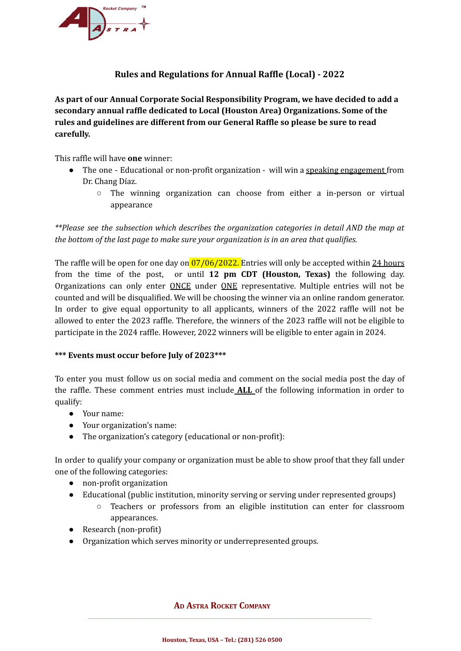

## **Rules and Regulations for Annual Raffle (Local) - 2022**

**As part of our Annual Corporate Social Responsibility Program, we have decided to add a secondary annual raffle dedicated to Local (Houston Area) Organizations. Some of the rules and guidelines are different from our General Raffle so please be sure to read carefully.**

This raffle will have **one** winner:

- The one Educational or non-profit organization will win a speaking engagement from Dr. Chang Díaz.
	- $\circ$  The winning organization can choose from either a in-person or virtual appearance

*\*\*Please see the subsection which describes the organization categories in detail AND the map at the bottom of the last page to make sure your organization is in an area that qualifies.*

The raffle will be open for one day on  $\frac{07}{06}$ /2022. Entries will only be accepted within 24 hours from the time of the post, or until **12 pm CDT (Houston, Texas)** the following day. Organizations can only enter ONCE under ONE representative. Multiple entries will not be counted and will be disqualified. We will be choosing the winner via an online random generator. In order to give equal opportunity to all applicants, winners of the 2022 raffle will not be allowed to enter the 2023 raffle. Therefore, the winners of the 2023 raffle will not be eligible to participate in the 2024 raffle. However, 2022 winners will be eligible to enter again in 2024.

## **\*\*\* Events must occur before July of 2023\*\*\***

To enter you must follow us on social media and comment on the social media post the day of the raffle. These comment entries must include **ALL** of the following information in order to qualify:

- Your name:
- Your organization's name:
- The organization's category (educational or non-profit):

In order to qualify your company or organization must be able to show proof that they fall under one of the following categories:

- non-profit organization
- Educational (public institution, minority serving or serving under represented groups)
	- Teachers or professors from an eligible institution can enter for classroom appearances.
- Research (non-profit)
- Organization which serves minority or underrepresented groups.

## **A<sup>D</sup> ASTRA ROCKET COMPANY**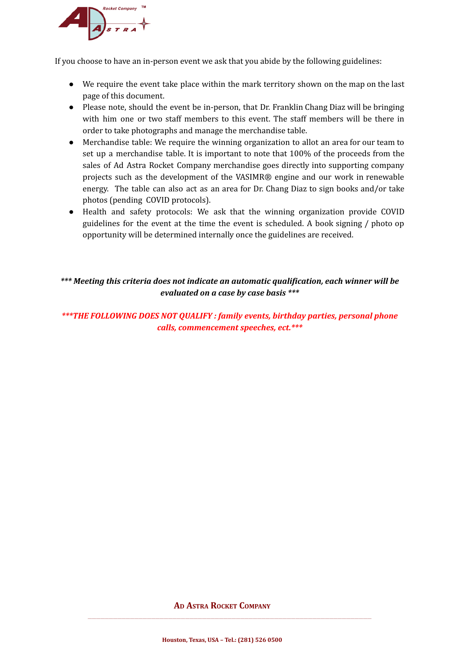

If you choose to have an in-person event we ask that you abide by the following guidelines:

- We require the event take place within the mark territory shown on the map on the last page of this document.
- Please note, should the event be in-person, that Dr. Franklin Chang Diaz will be bringing with him one or two staff members to this event. The staff members will be there in order to take photographs and manage the merchandise table.
- Merchandise table: We require the winning organization to allot an area for our team to set up a merchandise table. It is important to note that 100% of the proceeds from the sales of Ad Astra Rocket Company merchandise goes directly into supporting company projects such as the development of the VASIMR® engine and our work in renewable energy. The table can also act as an area for Dr. Chang Diaz to sign books and/or take photos (pending COVID protocols).
- Health and safety protocols: We ask that the winning organization provide COVID guidelines for the event at the time the event is scheduled. A book signing / photo op opportunity will be determined internally once the guidelines are received.

## *\*\*\* Meeting this criteria does not indicate an automatic qualification, each winner will be evaluated on a case by case basis \*\*\**

*\*\*\*THE FOLLOWING DOES NOT QUALIFY : family events, birthday parties, personal phone calls, commencement speeches, ect.\*\*\**

**A<sup>D</sup> ASTRA ROCKET COMPANY**